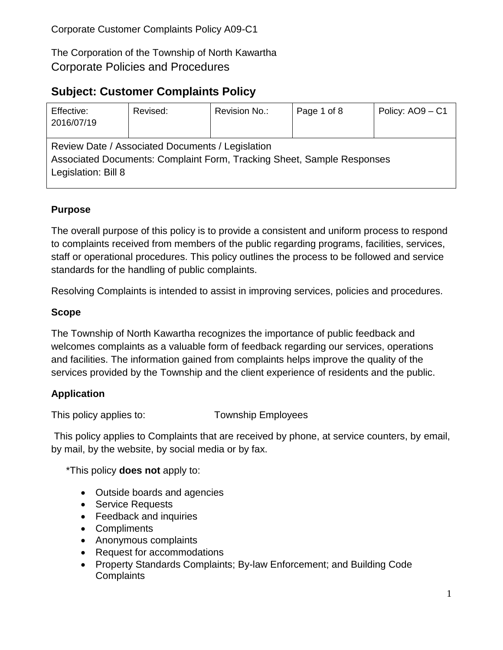The Corporation of the Township of North Kawartha Corporate Policies and Procedures

# **Subject: Customer Complaints Policy**

| Effective:<br>2016/07/19                                                                                                                          | Revised: | Revision No.: | Page 1 of 8 | Policy: AO9 - C1 |  |  |  |  |
|---------------------------------------------------------------------------------------------------------------------------------------------------|----------|---------------|-------------|------------------|--|--|--|--|
| Review Date / Associated Documents / Legislation<br>Associated Documents: Complaint Form, Tracking Sheet, Sample Responses<br>Legislation: Bill 8 |          |               |             |                  |  |  |  |  |

### **Purpose**

The overall purpose of this policy is to provide a consistent and uniform process to respond to complaints received from members of the public regarding programs, facilities, services, staff or operational procedures. This policy outlines the process to be followed and service standards for the handling of public complaints.

Resolving Complaints is intended to assist in improving services, policies and procedures.

#### **Scope**

The Township of North Kawartha recognizes the importance of public feedback and welcomes complaints as a valuable form of feedback regarding our services, operations and facilities. The information gained from complaints helps improve the quality of the services provided by the Township and the client experience of residents and the public.

#### **Application**

This policy applies to: Township Employees

This policy applies to Complaints that are received by phone, at service counters, by email, by mail, by the website, by social media or by fax.

\*This policy **does not** apply to:

- Outside boards and agencies
- **•** Service Requests
- Feedback and inquiries
- Compliments
- Anonymous complaints
- Request for accommodations
- Property Standards Complaints; By-law Enforcement; and Building Code **Complaints**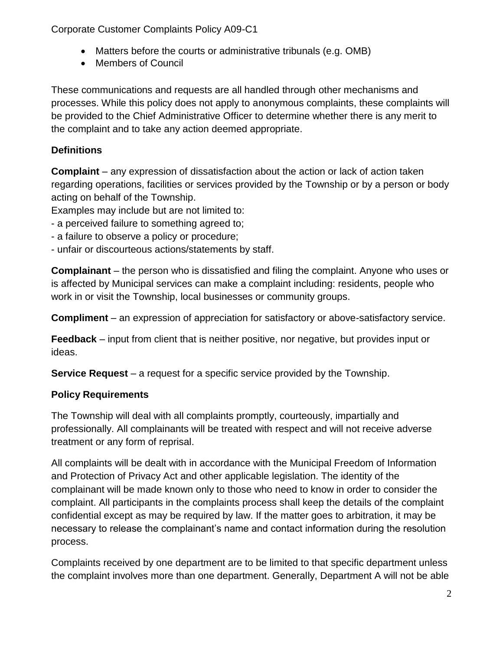- Matters before the courts or administrative tribunals (e.g. OMB)
- Members of Council

These communications and requests are all handled through other mechanisms and processes. While this policy does not apply to anonymous complaints, these complaints will be provided to the Chief Administrative Officer to determine whether there is any merit to the complaint and to take any action deemed appropriate.

## **Definitions**

**Complaint** – any expression of dissatisfaction about the action or lack of action taken regarding operations, facilities or services provided by the Township or by a person or body acting on behalf of the Township.

Examples may include but are not limited to:

- a perceived failure to something agreed to;
- a failure to observe a policy or procedure;
- unfair or discourteous actions/statements by staff.

**Complainant** – the person who is dissatisfied and filing the complaint. Anyone who uses or is affected by Municipal services can make a complaint including: residents, people who work in or visit the Township, local businesses or community groups.

**Compliment** – an expression of appreciation for satisfactory or above-satisfactory service.

**Feedback** – input from client that is neither positive, nor negative, but provides input or ideas.

**Service Request** – a request for a specific service provided by the Township.

### **Policy Requirements**

The Township will deal with all complaints promptly, courteously, impartially and professionally. All complainants will be treated with respect and will not receive adverse treatment or any form of reprisal.

All complaints will be dealt with in accordance with the Municipal Freedom of Information and Protection of Privacy Act and other applicable legislation. The identity of the complainant will be made known only to those who need to know in order to consider the complaint. All participants in the complaints process shall keep the details of the complaint confidential except as may be required by law. If the matter goes to arbitration, it may be necessary to release the complainant's name and contact information during the resolution process.

Complaints received by one department are to be limited to that specific department unless the complaint involves more than one department. Generally, Department A will not be able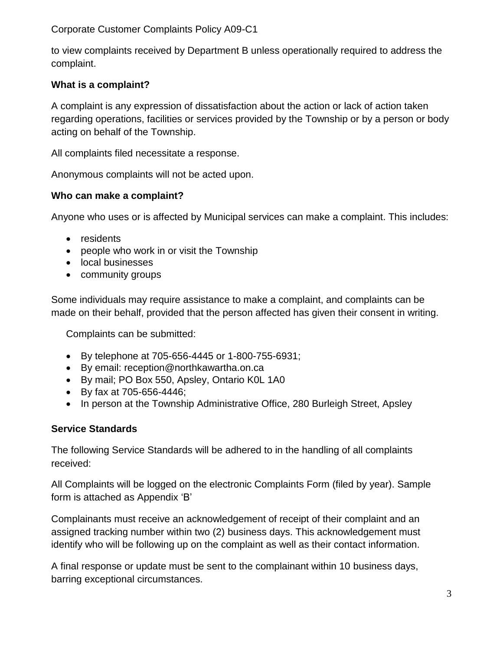to view complaints received by Department B unless operationally required to address the complaint.

### **What is a complaint?**

A complaint is any expression of dissatisfaction about the action or lack of action taken regarding operations, facilities or services provided by the Township or by a person or body acting on behalf of the Township.

All complaints filed necessitate a response.

Anonymous complaints will not be acted upon.

#### **Who can make a complaint?**

Anyone who uses or is affected by Municipal services can make a complaint. This includes:

- residents
- people who work in or visit the Township
- local businesses
- community groups

Some individuals may require assistance to make a complaint, and complaints can be made on their behalf, provided that the person affected has given their consent in writing.

Complaints can be submitted:

- By telephone at 705-656-4445 or 1-800-755-6931;
- By email: reception@northkawartha.on.ca
- By mail; PO Box 550, Apsley, Ontario K0L 1A0
- By fax at 705-656-4446;
- In person at the Township Administrative Office, 280 Burleigh Street, Apsley

#### **Service Standards**

The following Service Standards will be adhered to in the handling of all complaints received:

All Complaints will be logged on the electronic Complaints Form (filed by year). Sample form is attached as Appendix 'B'

Complainants must receive an acknowledgement of receipt of their complaint and an assigned tracking number within two (2) business days. This acknowledgement must identify who will be following up on the complaint as well as their contact information.

A final response or update must be sent to the complainant within 10 business days, barring exceptional circumstances.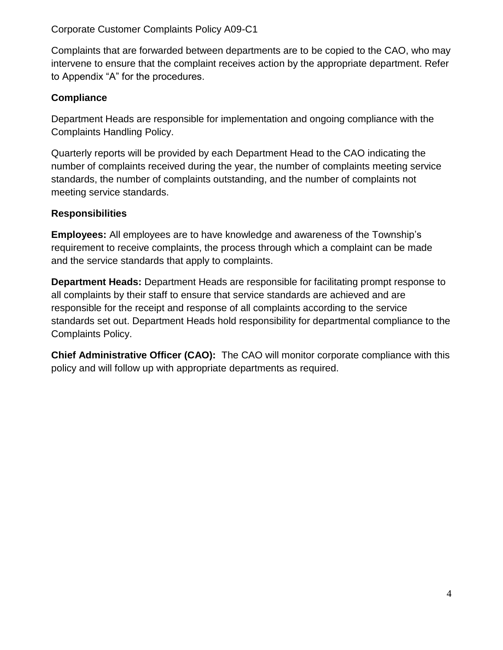Complaints that are forwarded between departments are to be copied to the CAO, who may intervene to ensure that the complaint receives action by the appropriate department. Refer to Appendix "A" for the procedures.

#### **Compliance**

Department Heads are responsible for implementation and ongoing compliance with the Complaints Handling Policy.

Quarterly reports will be provided by each Department Head to the CAO indicating the number of complaints received during the year, the number of complaints meeting service standards, the number of complaints outstanding, and the number of complaints not meeting service standards.

### **Responsibilities**

**Employees:** All employees are to have knowledge and awareness of the Township's requirement to receive complaints, the process through which a complaint can be made and the service standards that apply to complaints.

**Department Heads:** Department Heads are responsible for facilitating prompt response to all complaints by their staff to ensure that service standards are achieved and are responsible for the receipt and response of all complaints according to the service standards set out. Department Heads hold responsibility for departmental compliance to the Complaints Policy.

**Chief Administrative Officer (CAO):** The CAO will monitor corporate compliance with this policy and will follow up with appropriate departments as required.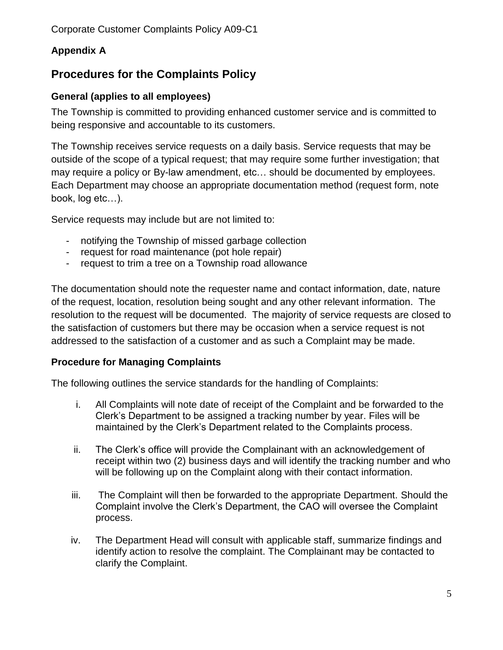## **Appendix A**

# **Procedures for the Complaints Policy**

#### **General (applies to all employees)**

The Township is committed to providing enhanced customer service and is committed to being responsive and accountable to its customers.

The Township receives service requests on a daily basis. Service requests that may be outside of the scope of a typical request; that may require some further investigation; that may require a policy or By-law amendment, etc… should be documented by employees. Each Department may choose an appropriate documentation method (request form, note book, log etc…).

Service requests may include but are not limited to:

- notifying the Township of missed garbage collection
- request for road maintenance (pot hole repair)
- request to trim a tree on a Township road allowance

The documentation should note the requester name and contact information, date, nature of the request, location, resolution being sought and any other relevant information. The resolution to the request will be documented. The majority of service requests are closed to the satisfaction of customers but there may be occasion when a service request is not addressed to the satisfaction of a customer and as such a Complaint may be made.

#### **Procedure for Managing Complaints**

The following outlines the service standards for the handling of Complaints:

- i. All Complaints will note date of receipt of the Complaint and be forwarded to the Clerk's Department to be assigned a tracking number by year. Files will be maintained by the Clerk's Department related to the Complaints process.
- ii. The Clerk's office will provide the Complainant with an acknowledgement of receipt within two (2) business days and will identify the tracking number and who will be following up on the Complaint along with their contact information.
- iii. The Complaint will then be forwarded to the appropriate Department. Should the Complaint involve the Clerk's Department, the CAO will oversee the Complaint process.
- iv. The Department Head will consult with applicable staff, summarize findings and identify action to resolve the complaint. The Complainant may be contacted to clarify the Complaint.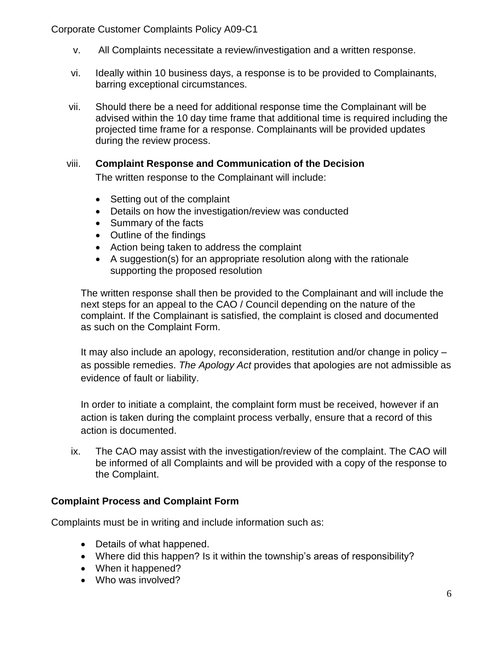- v. All Complaints necessitate a review/investigation and a written response.
- vi. Ideally within 10 business days, a response is to be provided to Complainants, barring exceptional circumstances.
- vii. Should there be a need for additional response time the Complainant will be advised within the 10 day time frame that additional time is required including the projected time frame for a response. Complainants will be provided updates during the review process.

#### viii. **Complaint Response and Communication of the Decision**

The written response to the Complainant will include:

- Setting out of the complaint
- Details on how the investigation/review was conducted
- Summary of the facts
- Outline of the findings
- Action being taken to address the complaint
- A suggestion(s) for an appropriate resolution along with the rationale supporting the proposed resolution

The written response shall then be provided to the Complainant and will include the next steps for an appeal to the CAO / Council depending on the nature of the complaint. If the Complainant is satisfied, the complaint is closed and documented as such on the Complaint Form.

It may also include an apology, reconsideration, restitution and/or change in policy – as possible remedies. *The Apology Act* provides that apologies are not admissible as evidence of fault or liability.

In order to initiate a complaint, the complaint form must be received, however if an action is taken during the complaint process verbally, ensure that a record of this action is documented.

ix. The CAO may assist with the investigation/review of the complaint. The CAO will be informed of all Complaints and will be provided with a copy of the response to the Complaint.

#### **Complaint Process and Complaint Form**

Complaints must be in writing and include information such as:

- Details of what happened.
- Where did this happen? Is it within the township's areas of responsibility?
- When it happened?
- Who was involved?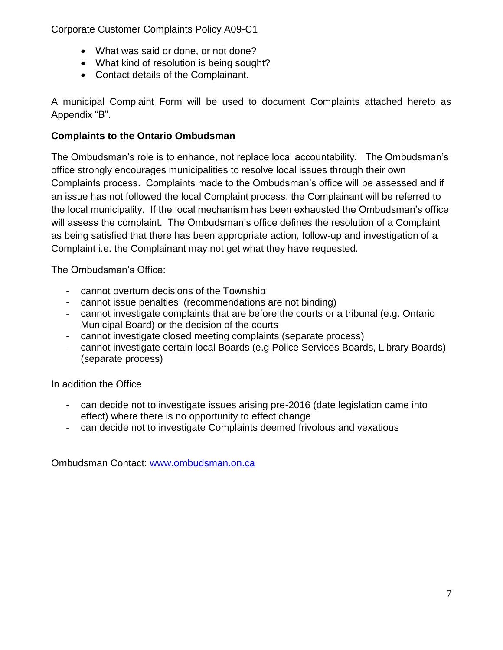- What was said or done, or not done?
- What kind of resolution is being sought?
- Contact details of the Complainant.

A municipal Complaint Form will be used to document Complaints attached hereto as Appendix "B".

### **Complaints to the Ontario Ombudsman**

The Ombudsman's role is to enhance, not replace local accountability. The Ombudsman's office strongly encourages municipalities to resolve local issues through their own Complaints process. Complaints made to the Ombudsman's office will be assessed and if an issue has not followed the local Complaint process, the Complainant will be referred to the local municipality. If the local mechanism has been exhausted the Ombudsman's office will assess the complaint. The Ombudsman's office defines the resolution of a Complaint as being satisfied that there has been appropriate action, follow-up and investigation of a Complaint i.e. the Complainant may not get what they have requested.

The Ombudsman's Office:

- cannot overturn decisions of the Township
- cannot issue penalties (recommendations are not binding)
- cannot investigate complaints that are before the courts or a tribunal (e.g. Ontario Municipal Board) or the decision of the courts
- cannot investigate closed meeting complaints (separate process)
- cannot investigate certain local Boards (e.g Police Services Boards, Library Boards) (separate process)

In addition the Office

- can decide not to investigate issues arising pre-2016 (date legislation came into effect) where there is no opportunity to effect change
- can decide not to investigate Complaints deemed frivolous and vexatious

Ombudsman Contact: [www.ombudsman.on.ca](http://www.ombudsman.on.ca/)